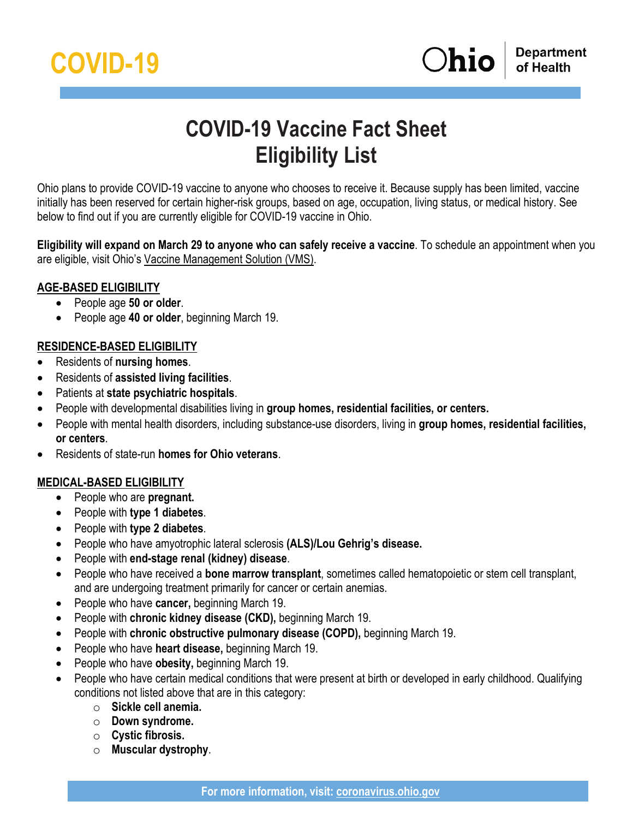

# **COVID-19 Vaccine Fact Sheet Eligibility List**

Ohio plans to provide COVID-19 vaccine to anyone who chooses to receive it. Because supply has been limited, vaccine initially has been reserved for certain higher-risk groups, based on age, occupation, living status, or medical history. See below to find out if you are currently eligible for COVID-19 vaccine in Ohio.

**Eligibility will expand on March 29 to anyone who can safely receive a vaccine**. To schedule an appointment when you are eligible, visit Ohio's [Vaccine Management Solution \(VMS\).](https://gettheshot.coronavirus.ohio.gov/)

### **AGE-BASED ELIGIBILITY**

- People age **50 or older**.
- People age **40 or older**, beginning March 19.

## **RESIDENCE-BASED ELIGIBILITY**

- Residents of **nursing homes**.
- Residents of **assisted living facilities**.
- Patients at **state psychiatric hospitals**.
- People with developmental disabilities living in **group homes, residential facilities, or centers.**
- People with mental health disorders, including substance-use disorders, living in **group homes, residential facilities, or centers**.
- Residents of state-run **homes for Ohio veterans**.

## **MEDICAL-BASED ELIGIBILITY**

- People who are **pregnant.**
- People with **type 1 diabetes**.
- People with **type 2 diabetes**.
- People who have amyotrophic lateral sclerosis **(ALS)/Lou Gehrig's disease.**
- People with **end-stage renal (kidney) disease**.
- People who have received a **bone marrow transplant**, sometimes called hematopoietic or stem cell transplant, and are undergoing treatment primarily for cancer or certain anemias.
- People who have **cancer,** beginning March 19.
- People with **chronic kidney disease (CKD),** beginning March 19.
- People with **chronic obstructive pulmonary disease (COPD),** beginning March 19.
- People who have **heart disease,** beginning March 19.
- People who have **obesity,** beginning March 19.
- People who have certain medical conditions that were present at birth or developed in early childhood. Qualifying conditions not listed above that are in this category:
	- o **Sickle cell anemia.**
	- o **Down syndrome.**
	- o **Cystic fibrosis.**
	- o **Muscular dystrophy**.